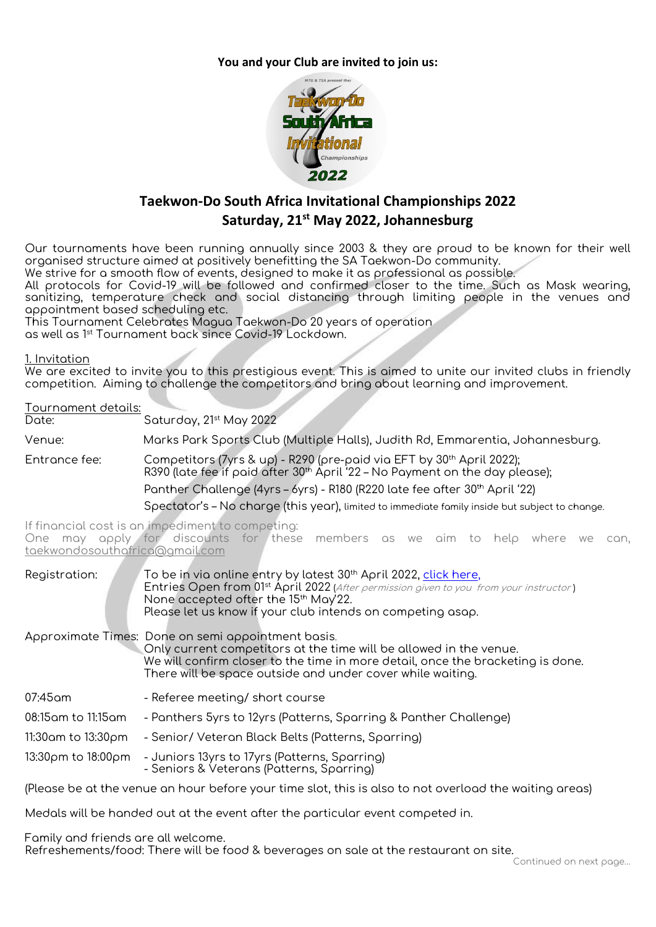**You and your Club are invited to join us:**



# **Taekwon-Do South Africa Invitational Championships 2022 Saturday, 21st May 2022, Johannesburg**

Our tournaments have been running annually since 2003 & they are proud to be known for their well organised structure aimed at positively benefitting the SA Taekwon-Do community.

We strive for a smooth flow of events, designed to make it as professional as possible.

All protocols for Covid-19 will be followed and confirmed closer to the time. Such as Mask wearing, sanitizing, temperature check and social distancing through limiting people in the venues and appointment based scheduling etc.

This Tournament Celebrates Magua Taekwon-Do 20 years of operation as well as 1<sup>st</sup> Tournament back since Covid-19 Lockdown.

#### **1. Invitation**

We are excited to invite you to this prestigious event. This is aimed to unite our invited clubs in friendly competition. Aiming to challenge the competitors and bring about learning and improvement.

## **Tournament details: Date: Saturday, 21st May 2022 Venue: Marks Park Sports Club (Multiple Halls), Judith Rd, Emmarentia, Johannesburg. Entrance fee:** Competitors **(7yrs & up) - R290** (pre-paid via EFT by 30th April 2022); R390 (late fee if paid after 30th April '22 – **No Payment on the day please**); Panther Challenge (4yrs – 6yrs) - R180 (R220 late fee after 30th April '22) Spectator's – No charge (this year), limited to immediate family inside but subject to change.

 **If financial cost is an impediment to competing:** One may apply for discounts for these members as we aim to help where we can, [taekwondosouthafrica@gmail.com](mailto:taekwondosouthafrica@gmail.com)

| Registration:                                                                                          | To be in via online entry by latest 30 <sup>th</sup> April 2022, click here,<br>Entries Open from 01 <sup>st</sup> April 2022 (After permission given to you from your instructor)<br>None accepted ofter the 15 <sup>th</sup> May'22.<br>Please let us know if your club intends on competing asap. |  |
|--------------------------------------------------------------------------------------------------------|------------------------------------------------------------------------------------------------------------------------------------------------------------------------------------------------------------------------------------------------------------------------------------------------------|--|
|                                                                                                        | Approximate Times: Done on semi appointment basis.<br>Only current competitors at the time will be allowed in the venue.<br>We will confirm closer to the time in more detail, once the bracketing is done.<br>There will be space outside and under cover while waiting.                            |  |
| 07:45 am                                                                                               | - Referee meeting/ short course                                                                                                                                                                                                                                                                      |  |
| 08:15am to 11:15am                                                                                     | - Panthers 5yrs to 12yrs (Patterns, Sparring & Panther Challenge)                                                                                                                                                                                                                                    |  |
| 11:30am to 13:30pm                                                                                     | - Senior/ Veteran Black Belts (Patterns, Sparring)                                                                                                                                                                                                                                                   |  |
| 13:30pm to 18:00pm                                                                                     | - Juniors 13yrs to 17yrs (Patterns, Sparring)<br>- Seniors & Veterans (Patterns, Sparring)                                                                                                                                                                                                           |  |
| (Please be at the venue an hour before your time slot, this is also to not overload the waiting areas) |                                                                                                                                                                                                                                                                                                      |  |

Medals will be handed out at the event after the particular event competed in.

Family and friends are all welcome.

**Refreshements/food:** There will be food & beverages on sale at the restaurant on site.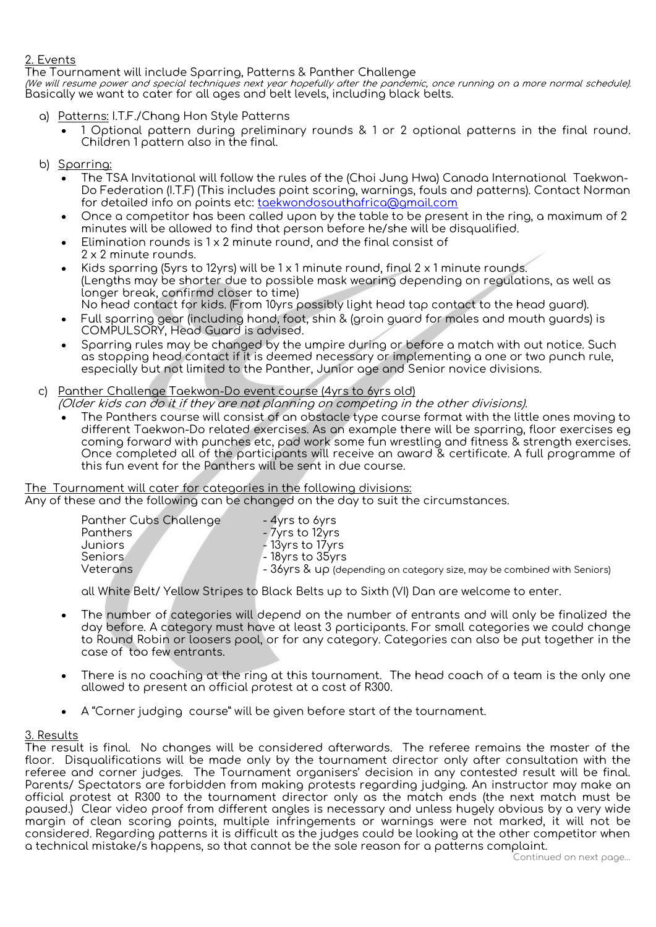## **2. Events**

The Tournament will include Sparring, Patterns & Panther Challenge

(We will resume power and special techniques next year hopefully after the pandemic, once running on a more normal schedule). Basically we want to cater for all ages and belt levels, including black belts.

- a) **Patterns:** I.T.F./Chang Hon Style Patterns
	- 1 Optional pattern during preliminary rounds & 1 or 2 optional patterns in the final round. Children 1 pattern also in the final.
- b) **Sparring:**
	- The TSA Invitational will follow the rules of the (Choi Jung Hwa) Canada International Taekwon-Do Federation (I.T.F) (This includes point scoring, warnings, fouls and patterns). Contact Norman for detailed info on points etc: [taekwondosouthafrica@gmail.com](mailto:taekwondosouthafrica@gmail.com)
	- Once a competitor has been called upon by the table to be present in the ring, a maximum of 2 minutes will be allowed to find that person before he/she will be disqualified.
	- Elimination rounds is 1 x 2 minute round, and the final consist of 2 x 2 minute rounds.
	- Kids sparring (5yrs to 12yrs) will be  $1 \times 1$  minute round, final 2  $\times 1$  minute rounds. **(Lengths may be shorter due to possible mask wearing depending on regulations, as well as longer break, confirmd closer to time)** No head contact for kids. (From 10yrs possibly **light** head tap contact to the head guard).
	- Full sparring gear (including hand, foot, shin & (groin guard for males and mouth guards) is COMPULSORY, Head Guard is advised.
	- Sparring rules may be changed by the umpire during or before a match with out notice. Such as stopping head contact if it is deemed necessary or implementing a one or two punch rule, especially but not limited to the Panther, Junior age and Senior novice divisions.

## **c) Panther Challenge Taekwon-Do event course (4yrs to 6yrs old)**

- **(Older kids can do it if they are not planning on competing in the other divisions).**
- The Panthers course will consist of an obstacle type course format with the little ones moving to different Taekwon-Do related exercises. As an example there will be sparring, floor exercises eg coming forward with punches etc, pad work some fun wrestling and fitness & strength exercises. Once completed all of the participants will receive an award & certificate. A full programme of this fun event for the Panthers will be sent in due course.

# **The Tournament will cater for categories in the following divisions:**

Any of these and the following can be changed on the day to suit the circumstances.

| Panther Cubs Challenge | - 4yrs to 6yrs                                                               |
|------------------------|------------------------------------------------------------------------------|
| Panthers               | - 7yrs to 12yrs                                                              |
| Juniors                | - 13yrs to 17yrs                                                             |
| <b>Seniors</b>         | $-18$ yrs to $35$ yrs                                                        |
| Veterans               | $\sim$ 36yrs & UP (depending on category size, may be combined with Seniors) |
|                        |                                                                              |

all White Belt/ Yellow Stripes to Black Belts up to Sixth (VI) Dan are welcome to enter.

- The number of categories will depend on the number of entrants and will only be finalized the day before. A category must have at least 3 participants. For small categories we could change to Round Robin or loosers pool, or for any category. Categories can also be put together in the case of too few entrants.
- There is no coaching at the ring at this tournament. The head coach of a team is the only one allowed to present an official protest at a cost of R300.
- A "Corner judging course" will be given before start of the tournament.

## **3. Results**

The result is final. No changes will be considered afterwards. The referee remains the master of the floor. Disqualifications will be made only by the tournament director only after consultation with the referee and corner judges. The Tournament organisers' decision in any contested result will be final. Parents/ Spectators are forbidden from making protests regarding judging. An instructor may make an official protest at R300 to the tournament director only as the match ends (the next match must be paused.) Clear video proof from different angles is necessary and unless hugely obvious by a very wide margin of clean scoring points, multiple infringements or warnings were not marked, it will not be considered. Regarding patterns it is difficult as the judges could be looking at the other competitor when a technical mistake/s happens, so that cannot be the sole reason for a patterns complaint.